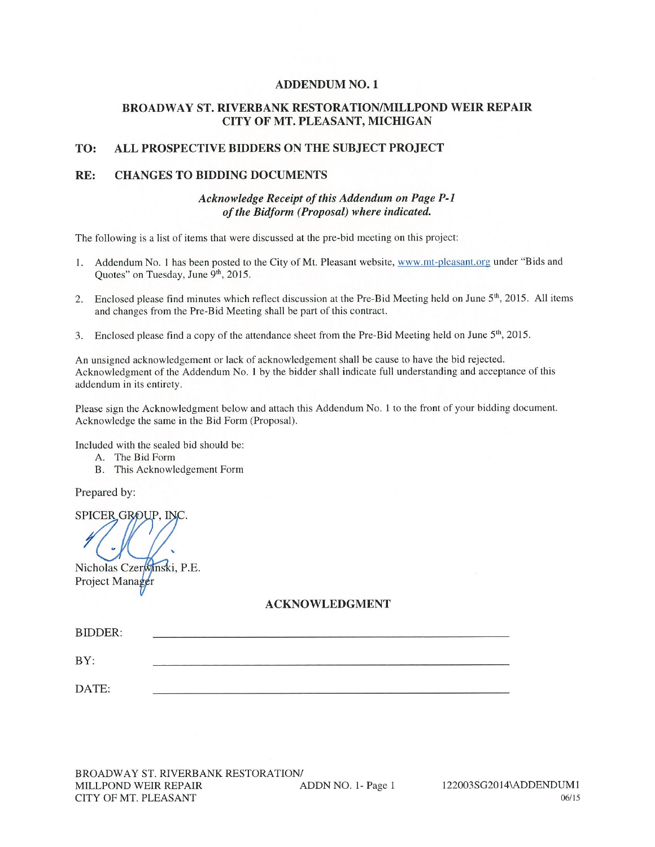#### **ADDENDUM NO. 1**

#### **BROADWAY ST. RIVERBANK RESTORATION/MILLPOND WEIR REPAIR** CITY OF MT. PLEASANT, MICHIGAN

#### TO: ALL PROSPECTIVE BIDDERS ON THE SUBJECT PROJECT

#### **CHANGES TO BIDDING DOCUMENTS** RE:

#### Acknowledge Receipt of this Addendum on Page P-1 of the Bidform (Proposal) where indicated.

The following is a list of items that were discussed at the pre-bid meeting on this project:

- 1. Addendum No. 1 has been posted to the City of Mt. Pleasant website, www.mt-pleasant.org under "Bids and Quotes" on Tuesday, June 9th, 2015.
- 2. Enclosed please find minutes which reflect discussion at the Pre-Bid Meeting held on June 5<sup>th</sup>, 2015. All items and changes from the Pre-Bid Meeting shall be part of this contract.
- Enclosed please find a copy of the attendance sheet from the Pre-Bid Meeting held on June 5<sup>th</sup>, 2015.  $3.$

An unsigned acknowledgement or lack of acknowledgement shall be cause to have the bid rejected. Acknowledgment of the Addendum No. 1 by the bidder shall indicate full understanding and acceptance of this addendum in its entirety.

Please sign the Acknowledgment below and attach this Addendum No. 1 to the front of your bidding document. Acknowledge the same in the Bid Form (Proposal).

Included with the sealed bid should be:

- A. The Bid Form
- B. This Acknowledgement Form

Prepared by:

SPICER GROUP. INC.

Nicholas Czerwinski, P.E. Project Manager

#### **ACKNOWLEDGMENT**

| <b>BIDDER:</b> |  |  |
|----------------|--|--|
| BY:            |  |  |
| DATE:          |  |  |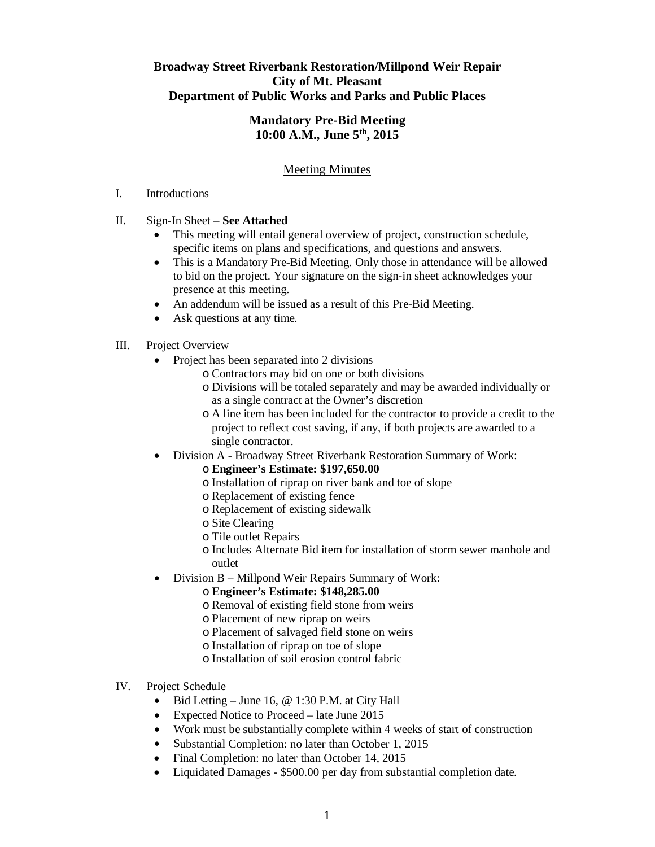# **Broadway Street Riverbank Restoration/Millpond Weir Repair City of Mt. Pleasant Department of Public Works and Parks and Public Places**

### **Mandatory Pre-Bid Meeting 10:00 A.M., June 5th, 2015**

# Meeting Minutes

#### I. Introductions

### II. Sign-In Sheet – **See Attached**

- This meeting will entail general overview of project, construction schedule, specific items on plans and specifications, and questions and answers.
- This is a Mandatory Pre-Bid Meeting. Only those in attendance will be allowed to bid on the project. Your signature on the sign-in sheet acknowledges your presence at this meeting.
- An addendum will be issued as a result of this Pre-Bid Meeting.
- Ask questions at any time.

## III. Project Overview

- Project has been separated into 2 divisions
	- o Contractors may bid on one or both divisions
	- o Divisions will be totaled separately and may be awarded individually or as a single contract at the Owner's discretion
	- o A line item has been included for the contractor to provide a credit to the project to reflect cost saving, if any, if both projects are awarded to a single contractor.
- Division A Broadway Street Riverbank Restoration Summary of Work:
	- o **Engineer's Estimate: \$197,650.00**
	- o Installation of riprap on river bank and toe of slope
	- o Replacement of existing fence
	- o Replacement of existing sidewalk
	- o Site Clearing
	- o Tile outlet Repairs
	- o Includes Alternate Bid item for installation of storm sewer manhole and outlet
- Division B Millpond Weir Repairs Summary of Work:

### o **Engineer's Estimate: \$148,285.00**

- o Removal of existing field stone from weirs
- o Placement of new riprap on weirs
- o Placement of salvaged field stone on weirs
- o Installation of riprap on toe of slope
- o Installation of soil erosion control fabric
- IV. Project Schedule
	- $\bullet$  Bid Letting June 16, @ 1:30 P.M. at City Hall
	- Expected Notice to Proceed late June 2015
	- Work must be substantially complete within 4 weeks of start of construction
	- Substantial Completion: no later than October 1, 2015
	- Final Completion: no later than October 14, 2015
	- Liquidated Damages \$500.00 per day from substantial completion date.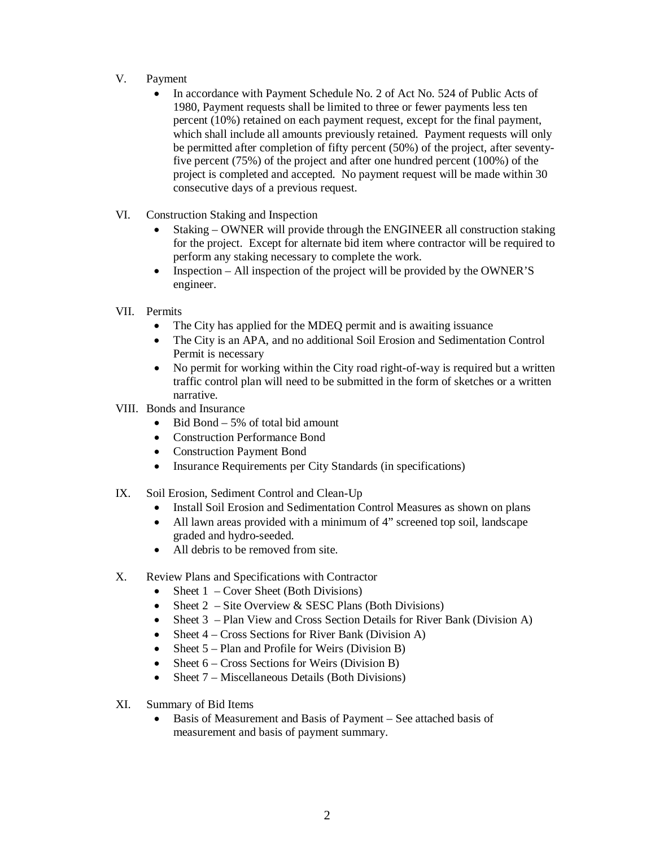- V. Payment
	- In accordance with Payment Schedule No. 2 of Act No. 524 of Public Acts of 1980, Payment requests shall be limited to three or fewer payments less ten percent (10%) retained on each payment request, except for the final payment, which shall include all amounts previously retained. Payment requests will only be permitted after completion of fifty percent (50%) of the project, after seventyfive percent (75%) of the project and after one hundred percent (100%) of the project is completed and accepted. No payment request will be made within 30 consecutive days of a previous request.
- VI. Construction Staking and Inspection
	- Staking OWNER will provide through the ENGINEER all construction staking for the project. Except for alternate bid item where contractor will be required to perform any staking necessary to complete the work.
	- Inspection All inspection of the project will be provided by the OWNER'S engineer.
- VII. Permits
	- The City has applied for the MDEQ permit and is awaiting issuance
	- The City is an APA, and no additional Soil Erosion and Sedimentation Control Permit is necessary
	- No permit for working within the City road right-of-way is required but a written traffic control plan will need to be submitted in the form of sketches or a written narrative.
- VIII. Bonds and Insurance
	- $\bullet$  Bid Bond 5% of total bid amount
	- Construction Performance Bond
	- Construction Payment Bond
	- Insurance Requirements per City Standards (in specifications)
- IX. Soil Erosion, Sediment Control and Clean-Up
	- Install Soil Erosion and Sedimentation Control Measures as shown on plans
	- All lawn areas provided with a minimum of 4" screened top soil, landscape graded and hydro-seeded.
	- All debris to be removed from site.
- X. Review Plans and Specifications with Contractor
	- Sheet  $1$  Cover Sheet (Both Divisions)
	- Sheet  $2 -$  Site Overview & SESC Plans (Both Divisions)
	- Sheet 3 Plan View and Cross Section Details for River Bank (Division A)
	- Sheet  $4 Cross$  Sections for River Bank (Division A)
	- Sheet  $5$  Plan and Profile for Weirs (Division B)
	- Sheet  $6 Cross Sections$  for Weirs (Division B)
	- Sheet  $7 -$  Miscellaneous Details (Both Divisions)
- XI. Summary of Bid Items
	- Basis of Measurement and Basis of Payment See attached basis of measurement and basis of payment summary.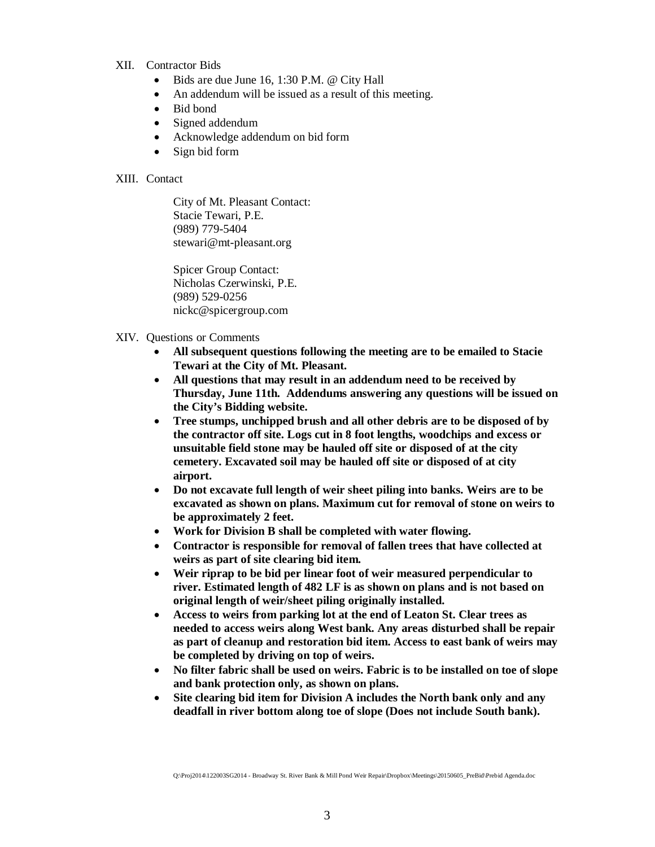#### XII. Contractor Bids

- Bids are due June 16, 1:30 P.M. @ City Hall
- An addendum will be issued as a result of this meeting.
- Bid bond
- Signed addendum
- Acknowledge addendum on bid form
- Sign bid form

#### XIII. Contact

City of Mt. Pleasant Contact: Stacie Tewari, P.E. (989) 779-5404 stewari@mt-pleasant.org

Spicer Group Contact: Nicholas Czerwinski, P.E. (989) 529-0256 nickc@spicergroup.com

- XIV. Questions or Comments
	- **All subsequent questions following the meeting are to be emailed to Stacie Tewari at the City of Mt. Pleasant.**
	- **All questions that may result in an addendum need to be received by Thursday, June 11th. Addendums answering any questions will be issued on the City's Bidding website.**
	- **Tree stumps, unchipped brush and all other debris are to be disposed of by the contractor off site. Logs cut in 8 foot lengths, woodchips and excess or unsuitable field stone may be hauled off site or disposed of at the city cemetery. Excavated soil may be hauled off site or disposed of at city airport.**
	- **Do not excavate full length of weir sheet piling into banks. Weirs are to be excavated as shown on plans. Maximum cut for removal of stone on weirs to be approximately 2 feet.**
	- **Work for Division B shall be completed with water flowing.**
	- **Contractor is responsible for removal of fallen trees that have collected at weirs as part of site clearing bid item.**
	- **Weir riprap to be bid per linear foot of weir measured perpendicular to river. Estimated length of 482 LF is as shown on plans and is not based on original length of weir/sheet piling originally installed.**
	- **Access to weirs from parking lot at the end of Leaton St. Clear trees as needed to access weirs along West bank. Any areas disturbed shall be repair as part of cleanup and restoration bid item. Access to east bank of weirs may be completed by driving on top of weirs.**
	- **No filter fabric shall be used on weirs. Fabric is to be installed on toe of slope and bank protection only, as shown on plans.**
	- **Site clearing bid item for Division A includes the North bank only and any deadfall in river bottom along toe of slope (Does not include South bank).**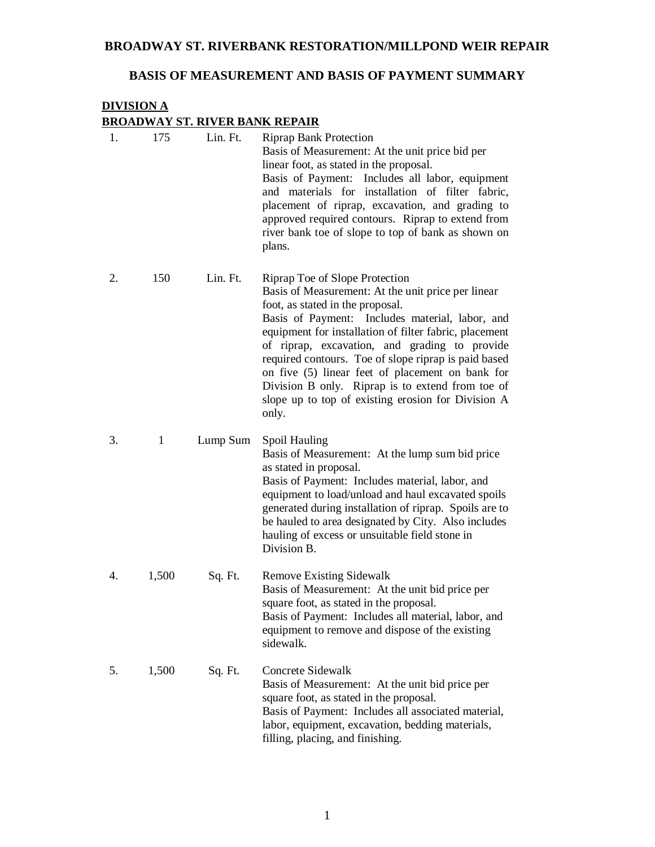#### **BROADWAY ST. RIVERBANK RESTORATION/MILLPOND WEIR REPAIR**

# **BASIS OF MEASUREMENT AND BASIS OF PAYMENT SUMMARY**

# **DIVISION A BROADWAY ST. RIVER BANK REPAIR**

| 1. | 175          | Lin. Ft. | <b>Riprap Bank Protection</b><br>Basis of Measurement: At the unit price bid per<br>linear foot, as stated in the proposal.<br>Basis of Payment: Includes all labor, equipment<br>and materials for installation of filter fabric,<br>placement of riprap, excavation, and grading to<br>approved required contours. Riprap to extend from<br>river bank toe of slope to top of bank as shown on<br>plans.                                                                                                            |
|----|--------------|----------|-----------------------------------------------------------------------------------------------------------------------------------------------------------------------------------------------------------------------------------------------------------------------------------------------------------------------------------------------------------------------------------------------------------------------------------------------------------------------------------------------------------------------|
| 2. | 150          | Lin. Ft. | Riprap Toe of Slope Protection<br>Basis of Measurement: At the unit price per linear<br>foot, as stated in the proposal.<br>Basis of Payment: Includes material, labor, and<br>equipment for installation of filter fabric, placement<br>of riprap, excavation, and grading to provide<br>required contours. Toe of slope riprap is paid based<br>on five (5) linear feet of placement on bank for<br>Division B only. Riprap is to extend from toe of<br>slope up to top of existing erosion for Division A<br>only. |
| 3. | $\mathbf{1}$ | Lump Sum | Spoil Hauling<br>Basis of Measurement: At the lump sum bid price<br>as stated in proposal.<br>Basis of Payment: Includes material, labor, and<br>equipment to load/unload and haul excavated spoils<br>generated during installation of riprap. Spoils are to<br>be hauled to area designated by City. Also includes<br>hauling of excess or unsuitable field stone in<br>Division B.                                                                                                                                 |
| 4. | 1,500        | Sq. Ft.  | <b>Remove Existing Sidewalk</b><br>Basis of Measurement: At the unit bid price per<br>square foot, as stated in the proposal.<br>Basis of Payment: Includes all material, labor, and<br>equipment to remove and dispose of the existing<br>sidewalk.                                                                                                                                                                                                                                                                  |
| 5. | 1,500        | Sq. Ft.  | Concrete Sidewalk<br>Basis of Measurement: At the unit bid price per<br>square foot, as stated in the proposal.<br>Basis of Payment: Includes all associated material,<br>labor, equipment, excavation, bedding materials,<br>filling, placing, and finishing.                                                                                                                                                                                                                                                        |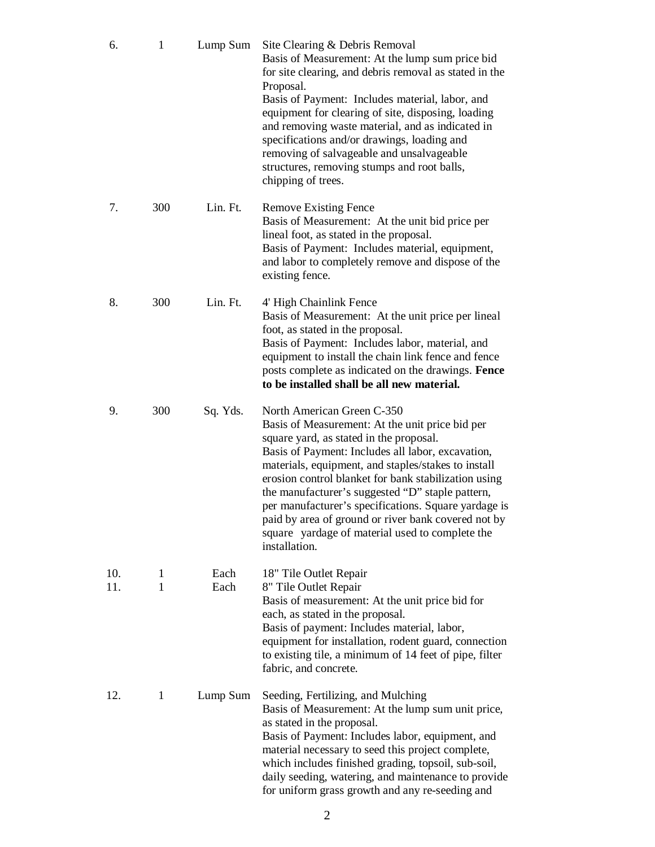| 6.         | 1      | Lump Sum     | Site Clearing & Debris Removal<br>Basis of Measurement: At the lump sum price bid<br>for site clearing, and debris removal as stated in the<br>Proposal.<br>Basis of Payment: Includes material, labor, and<br>equipment for clearing of site, disposing, loading<br>and removing waste material, and as indicated in<br>specifications and/or drawings, loading and<br>removing of salvageable and unsalvageable<br>structures, removing stumps and root balls,<br>chipping of trees.                                              |
|------------|--------|--------------|-------------------------------------------------------------------------------------------------------------------------------------------------------------------------------------------------------------------------------------------------------------------------------------------------------------------------------------------------------------------------------------------------------------------------------------------------------------------------------------------------------------------------------------|
| 7.         | 300    | Lin. Ft.     | <b>Remove Existing Fence</b><br>Basis of Measurement: At the unit bid price per<br>lineal foot, as stated in the proposal.<br>Basis of Payment: Includes material, equipment,<br>and labor to completely remove and dispose of the<br>existing fence.                                                                                                                                                                                                                                                                               |
| 8.         | 300    | Lin. Ft.     | 4' High Chainlink Fence<br>Basis of Measurement: At the unit price per lineal<br>foot, as stated in the proposal.<br>Basis of Payment: Includes labor, material, and<br>equipment to install the chain link fence and fence<br>posts complete as indicated on the drawings. Fence<br>to be installed shall be all new material.                                                                                                                                                                                                     |
| 9.         | 300    | Sq. Yds.     | North American Green C-350<br>Basis of Measurement: At the unit price bid per<br>square yard, as stated in the proposal.<br>Basis of Payment: Includes all labor, excavation,<br>materials, equipment, and staples/stakes to install<br>erosion control blanket for bank stabilization using<br>the manufacturer's suggested "D" staple pattern,<br>per manufacturer's specifications. Square yardage is<br>paid by area of ground or river bank covered not by<br>square yardage of material used to complete the<br>installation. |
| 10.<br>11. | 1<br>1 | Each<br>Each | 18" Tile Outlet Repair<br>8" Tile Outlet Repair<br>Basis of measurement: At the unit price bid for<br>each, as stated in the proposal.<br>Basis of payment: Includes material, labor,<br>equipment for installation, rodent guard, connection<br>to existing tile, a minimum of 14 feet of pipe, filter<br>fabric, and concrete.                                                                                                                                                                                                    |
| 12.        | 1      | Lump Sum     | Seeding, Fertilizing, and Mulching<br>Basis of Measurement: At the lump sum unit price,<br>as stated in the proposal.<br>Basis of Payment: Includes labor, equipment, and<br>material necessary to seed this project complete,<br>which includes finished grading, topsoil, sub-soil,<br>daily seeding, watering, and maintenance to provide<br>for uniform grass growth and any re-seeding and                                                                                                                                     |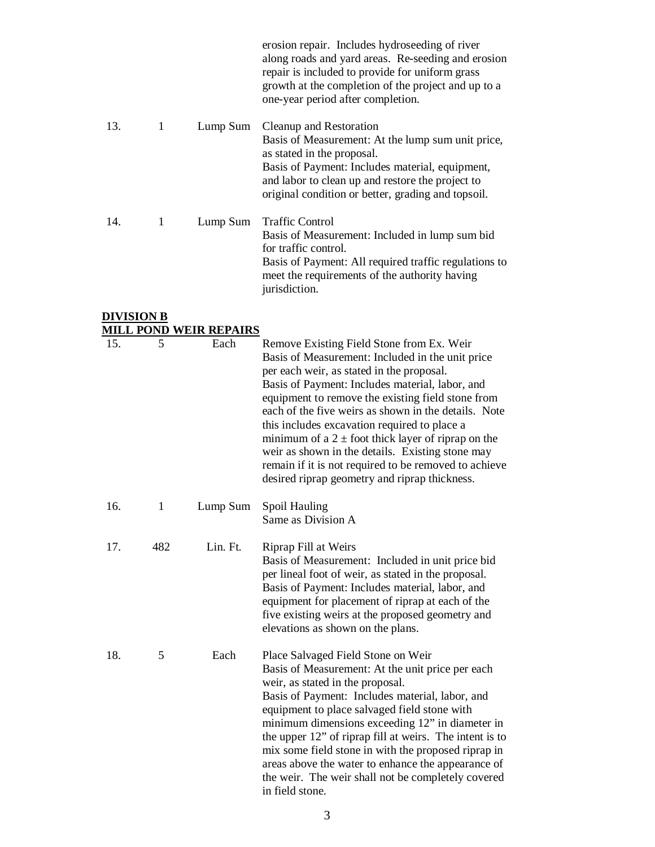|     |   |          | erosion repair. Includes hydroseeding of river<br>along roads and yard areas. Re-seeding and erosion<br>repair is included to provide for uniform grass<br>growth at the completion of the project and up to a<br>one-year period after completion.                     |
|-----|---|----------|-------------------------------------------------------------------------------------------------------------------------------------------------------------------------------------------------------------------------------------------------------------------------|
| 13. | 1 | Lump Sum | Cleanup and Restoration<br>Basis of Measurement: At the lump sum unit price,<br>as stated in the proposal.<br>Basis of Payment: Includes material, equipment,<br>and labor to clean up and restore the project to<br>original condition or better, grading and topsoil. |
| 14. | 1 | Lump Sum | <b>Traffic Control</b><br>Basis of Measurement: Included in lump sum bid<br>for traffic control.<br>Basis of Payment: All required traffic regulations to<br>meet the requirements of the authority having<br>jurisdiction.                                             |

#### **DIVISION B MILL POND WEIR REPAIRS**

| 15. | 5            | Each     | Remove Existing Field Stone from Ex. Weir<br>Basis of Measurement: Included in the unit price<br>per each weir, as stated in the proposal.<br>Basis of Payment: Includes material, labor, and<br>equipment to remove the existing field stone from<br>each of the five weirs as shown in the details. Note<br>this includes excavation required to place a<br>minimum of a $2 \pm$ foot thick layer of riprap on the<br>weir as shown in the details. Existing stone may<br>remain if it is not required to be removed to achieve<br>desired riprap geometry and riprap thickness. |
|-----|--------------|----------|------------------------------------------------------------------------------------------------------------------------------------------------------------------------------------------------------------------------------------------------------------------------------------------------------------------------------------------------------------------------------------------------------------------------------------------------------------------------------------------------------------------------------------------------------------------------------------|
| 16. | $\mathbf{1}$ | Lump Sum | Spoil Hauling<br>Same as Division A                                                                                                                                                                                                                                                                                                                                                                                                                                                                                                                                                |
| 17. | 482          | Lin. Ft. | Riprap Fill at Weirs<br>Basis of Measurement: Included in unit price bid<br>per lineal foot of weir, as stated in the proposal.<br>Basis of Payment: Includes material, labor, and<br>equipment for placement of riprap at each of the<br>five existing weirs at the proposed geometry and<br>elevations as shown on the plans.                                                                                                                                                                                                                                                    |
| 18. | 5            | Each     | Place Salvaged Field Stone on Weir<br>Basis of Measurement: At the unit price per each<br>weir, as stated in the proposal.<br>Basis of Payment: Includes material, labor, and<br>equipment to place salvaged field stone with<br>minimum dimensions exceeding 12" in diameter in<br>the upper 12" of riprap fill at weirs. The intent is to<br>mix some field stone in with the proposed riprap in<br>areas above the water to enhance the appearance of<br>the weir. The weir shall not be completely covered<br>in field stone.                                                  |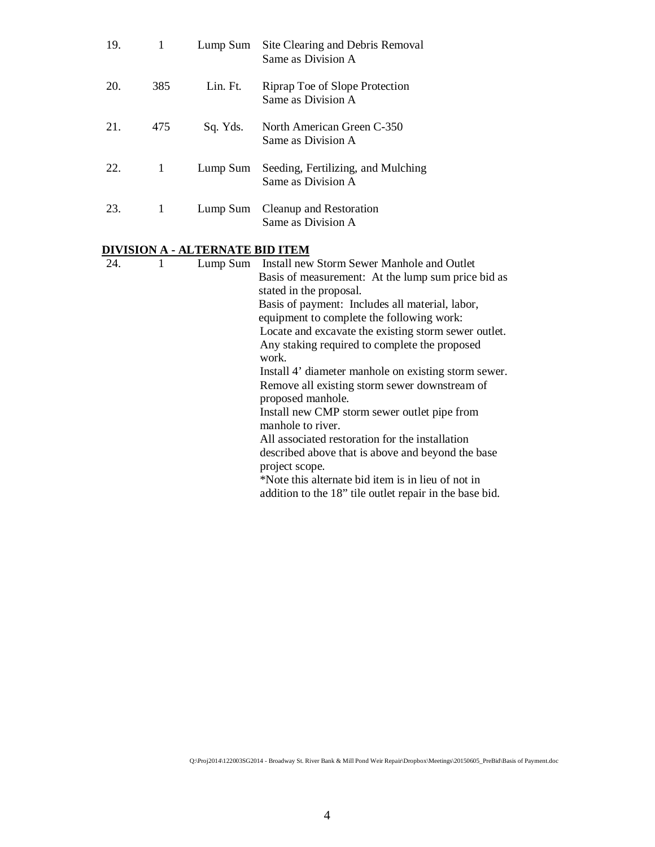| 19. | 1   | Lump Sum | Site Clearing and Debris Removal<br>Same as Division A   |
|-----|-----|----------|----------------------------------------------------------|
| 20. | 385 | Lin. Ft. | Riprap Toe of Slope Protection<br>Same as Division A     |
| 21. | 475 | Sq. Yds. | North American Green C-350<br>Same as Division A         |
| 22. | 1   | Lump Sum | Seeding, Fertilizing, and Mulching<br>Same as Division A |
| 23. | 1   |          | Lump Sum Cleanup and Restoration<br>Same as Division A   |

# **DIVISION A - ALTERNATE BID ITEM**

| 24. |  | Lump Sum Install new Storm Sewer Manhole and Outlet     |
|-----|--|---------------------------------------------------------|
|     |  | Basis of measurement: At the lump sum price bid as      |
|     |  | stated in the proposal.                                 |
|     |  | Basis of payment: Includes all material, labor,         |
|     |  | equipment to complete the following work:               |
|     |  | Locate and excavate the existing storm sewer outlet.    |
|     |  | Any staking required to complete the proposed           |
|     |  | work.                                                   |
|     |  | Install 4' diameter manhole on existing storm sewer.    |
|     |  | Remove all existing storm sewer downstream of           |
|     |  | proposed manhole.                                       |
|     |  | Install new CMP storm sewer outlet pipe from            |
|     |  | manhole to river.                                       |
|     |  | All associated restoration for the installation         |
|     |  | described above that is above and beyond the base       |
|     |  | project scope.                                          |
|     |  | *Note this alternate bid item is in lieu of not in      |
|     |  | addition to the 18" tile outlet repair in the base bid. |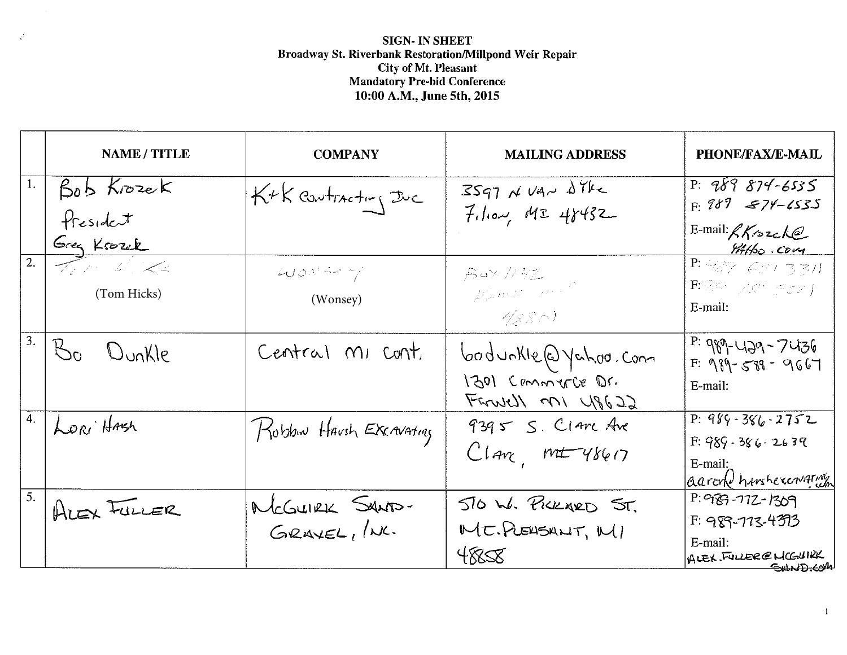# SIGN- IN SHEET Broadway St. Riverbank Restoration/Millpond Weir Repair<br>City of Mt. Pleasant<br>Mandatory Pre-bid Conference 10:00 A.M., June 5th, 2015

 $\mathcal{S}^{\mathbb{R}}$ 

|                 | <b>NAME / TITLE</b>                                 | <b>COMPANY</b>           | <b>MAILING ADDRESS</b>                                                                                                                                                                                                                                             | PHONE/FAX/E-MAIL                                                                                                                                                                                                                                                                                                       |
|-----------------|-----------------------------------------------------|--------------------------|--------------------------------------------------------------------------------------------------------------------------------------------------------------------------------------------------------------------------------------------------------------------|------------------------------------------------------------------------------------------------------------------------------------------------------------------------------------------------------------------------------------------------------------------------------------------------------------------------|
| 1.              | Bob Krozek                                          | K+K contracting the      | $3597$ N VAN $\Delta$ YKK                                                                                                                                                                                                                                          | $P: 989874 - 6535$                                                                                                                                                                                                                                                                                                     |
|                 | fresident                                           |                          | $7.10 - 48432$                                                                                                                                                                                                                                                     | $F: 989$ $874-1535$                                                                                                                                                                                                                                                                                                    |
|                 | Greg Krozek                                         |                          |                                                                                                                                                                                                                                                                    | $E$ -mail: $R$ K sucke<br>Attho com                                                                                                                                                                                                                                                                                    |
| $\overline{2.}$ | $\mathcal{T}_{\ell}$ for $\mathcal{L}_{\ell}$ . Let | $4000$ man $\frac{2}{3}$ | $B$ u $\times$ // $B$ Z $-$                                                                                                                                                                                                                                        | $P: \frac{1}{2}$ $\frac{1}{2}$ $\frac{1}{2}$ $\frac{1}{2}$ $\frac{1}{2}$ $\frac{1}{2}$ $\frac{1}{2}$ $\frac{1}{2}$ $\frac{1}{2}$ $\frac{1}{2}$ $\frac{1}{2}$ $\frac{1}{2}$ $\frac{1}{2}$ $\frac{1}{2}$ $\frac{1}{2}$ $\frac{1}{2}$ $\frac{1}{2}$ $\frac{1}{2}$ $\frac{1}{2}$ $\frac{1}{2}$ $\frac{1}{2}$ $\frac{1}{2}$ |
|                 | (Tom Hicks)                                         | (Wonsey)                 | $\left\langle \int_{0}^{\infty}\int_{\mathbb{R}^{2}}\left f\left(t\right)\right ^{2}dt\right\rangle =\left\langle \int_{0}^{\infty}\left f\left(t\right)\right ^{2}dt\right\rangle =\left\langle \int_{0}^{\infty}\left f\left(t\right)\right ^{2}dt\right\rangle$ | $\mathbf{F}\otimes\mathbb{R}^n\searrow\mathbb{R}^n\preceq\mathbb{Z}\otimes\mathbb{R}^n$<br>E-mail:                                                                                                                                                                                                                     |
|                 |                                                     |                          | - 4(8 S) -                                                                                                                                                                                                                                                         |                                                                                                                                                                                                                                                                                                                        |
|                 | Bo Dunkle                                           | Central MI Cont.         | bodunkle@yahoo.com                                                                                                                                                                                                                                                 | $P: 989 - 429 - 7436$<br>$F: 989 - 589 - 9667$                                                                                                                                                                                                                                                                         |
|                 |                                                     |                          | 1301 Commerce Dr.<br>Farnell MI 48622                                                                                                                                                                                                                              | E-mail:                                                                                                                                                                                                                                                                                                                |
|                 | LORI HASH                                           | Robbin Havsh EXCAVAting  | $9395$ S. Clare Ave                                                                                                                                                                                                                                                | P: $989 - 386 - 2752$                                                                                                                                                                                                                                                                                                  |
|                 |                                                     |                          | $Clav$ $mt-48617$                                                                                                                                                                                                                                                  | $F: 989 - 386 - 2639$<br>E-mail:                                                                                                                                                                                                                                                                                       |
|                 |                                                     |                          |                                                                                                                                                                                                                                                                    | aarond harshexcovating                                                                                                                                                                                                                                                                                                 |
| 5.              | ALEX FULLER                                         | MCGUIRK SANTS-           | 510 W. PICKARD ST.                                                                                                                                                                                                                                                 | $P: 969 - 772 - 1309$                                                                                                                                                                                                                                                                                                  |
|                 |                                                     | $G$ RAYEL, $/\kappa$     | MT. PLEUSANT, MI                                                                                                                                                                                                                                                   | F: 989-713-4393                                                                                                                                                                                                                                                                                                        |
|                 |                                                     |                          | $488\%$                                                                                                                                                                                                                                                            | E-mail:<br>ALEX FULLER@MCGUIRK<br><b>SHND.COM</b>                                                                                                                                                                                                                                                                      |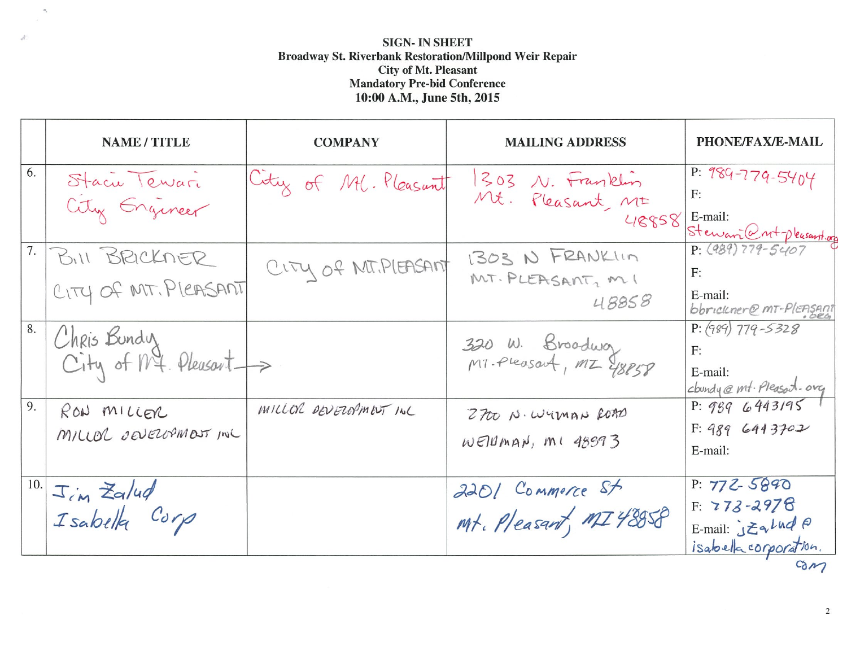# **SIGN- IN SHEET Broadway St. Riverbank Restoration/Millpond Weir Repair**<br>City of Mt. Pleasant<br>Mandatory Pre-bid Conference 10:00 A.M., June 5th, 2015

 $\gamma$ 

 $\mathcal{A}^{\prime}$ 

|     | <b>NAME / TITLE</b>                      | <b>COMPANY</b>         | <b>MAILING ADDRESS</b>                        | <b>PHONE/FAX/E-MAIL</b>                                                                    |
|-----|------------------------------------------|------------------------|-----------------------------------------------|--------------------------------------------------------------------------------------------|
| 6.  | Stacu Tewar<br>City Engineer             | City of Ml. Pleasant   | 1303 N. Franklin<br>Mt. Pleasant, Mt<br>48858 | P: $989 - 779 - 5404$<br>E-mail:<br>Steward ntpleasant.org                                 |
|     | 7. BILL BRICKNER<br>CITY OF MT. PLEASANT | CITY OF MIT. PLEASANT  | 1303 N FRANKLIN<br>MT. PLEASANT, MI<br>48858  | $P: (989) 779 - 5407$<br>F:<br>E-mail:<br>bbrickner@ MT-PlEASAnt                           |
| 8.  | Chris Bundy<br>City of Mt. Pleasant ->   |                        | 320 W. Broadway<br>MT-Pleasart, MZ Y8858      | $P: (989)$ 779-5328<br>F:<br>E-mail:<br>cloundy @ mt. Pleasant.org                         |
| 9.  | RON MILLER<br>MILLOR DEVEROPMENT INC     | MILLOR DEVELOPMENT INC | 2700 N. WYMAN ROAD<br>$W$ Ellman, $M1$ 48993  | P: 9896443195<br>F: 989643702<br>E-mail:                                                   |
| 10. | Jim Zalud<br>Isabella Corp               |                        | 2201 Commerce St<br>Mt. Pleasant, MI 48058    | $P: 772 - 5890$<br>$F: 773 - 2978$<br>E-mail: $JZ_3LudP$<br>isabella corporation.<br>$-21$ |

 $\overline{2}$